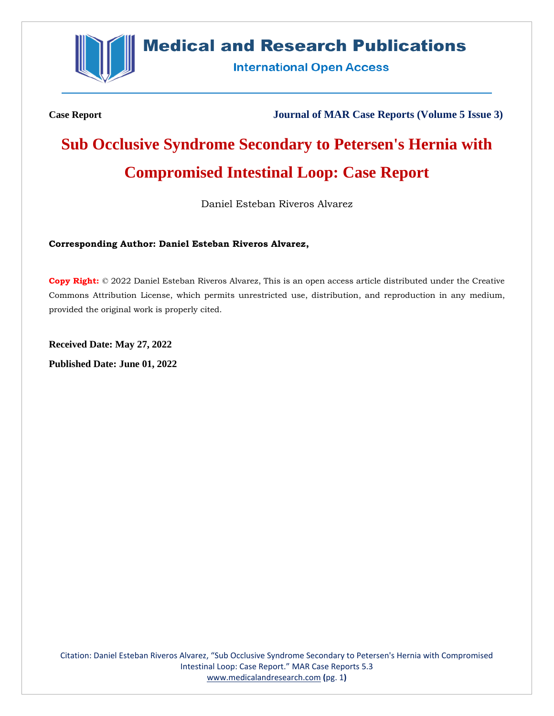

# **Medical and Research Publications**

**International Open Access** 

**Case Report Journal of MAR Case Reports (Volume 5 Issue 3)**

# **Sub Occlusive Syndrome Secondary to Petersen's Hernia with Compromised Intestinal Loop: Case Report**

Daniel Esteban Riveros Alvarez

# **Corresponding Author: Daniel Esteban Riveros Alvarez,**

**Copy Right:** © 2022 Daniel Esteban Riveros Alvarez, This is an open access article distributed under the Creative Commons Attribution License, which permits unrestricted use, distribution, and reproduction in any medium, provided the original work is properly cited.

**Received Date: May 27, 2022 Published Date: June 01, 2022**

Citation: Daniel Esteban Riveros Alvarez, "Sub Occlusive Syndrome Secondary to Petersen's Hernia with Compromised Intestinal Loop: Case Report." MAR Case Reports 5.3 [www.medicalandresearch.com](http://www.medicalandresearch.com/) **(**pg. 1**)**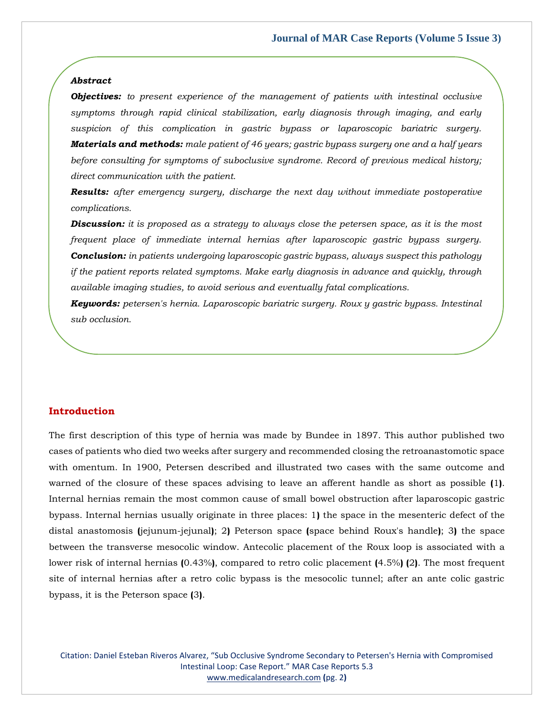#### *Abstract*

*Objectives: to present experience of the management of patients with intestinal occlusive symptoms through rapid clinical stabilization, early diagnosis through imaging, and early suspicion of this complication in gastric bypass or laparoscopic bariatric surgery. Materials and methods: male patient of 46 years; gastric bypass surgery one and a half years before consulting for symptoms of suboclusive syndrome. Record of previous medical history; direct communication with the patient.*

*Results: after emergency surgery, discharge the next day without immediate postoperative complications.* 

*Discussion: it is proposed as a strategy to always close the petersen space, as it is the most frequent place of immediate internal hernias after laparoscopic gastric bypass surgery. Conclusion: in patients undergoing laparoscopic gastric bypass, always suspect this pathology if the patient reports related symptoms. Make early diagnosis in advance and quickly, through available imaging studies, to avoid serious and eventually fatal complications.*

*Keywords: petersen's hernia. Laparoscopic bariatric surgery. Roux y gastric bypass. Intestinal sub occlusion.*

### **Introduction**

The first description of this type of hernia was made by Bundee in 1897. This author published two cases of patients who died two weeks after surgery and recommended closing the retroanastomotic space with omentum. In 1900, Petersen described and illustrated two cases with the same outcome and warned of the closure of these spaces advising to leave an afferent handle as short as possible **(**1**)**. Internal hernias remain the most common cause of small bowel obstruction after laparoscopic gastric bypass. Internal hernias usually originate in three places: 1**)** the space in the mesenteric defect of the distal anastomosis **(**jejunum-jejunal**)**; 2**)** Peterson space **(**space behind Roux's handle**)**; 3**)** the space between the transverse mesocolic window. Antecolic placement of the Roux loop is associated with a lower risk of internal hernias **(**0.43%**)**, compared to retro colic placement **(**4.5%**) (**2**)**. The most frequent site of internal hernias after a retro colic bypass is the mesocolic tunnel; after an ante colic gastric bypass, it is the Peterson space **(**3**)**.

Citation: Daniel Esteban Riveros Alvarez, "Sub Occlusive Syndrome Secondary to Petersen's Hernia with Compromised Intestinal Loop: Case Report." MAR Case Reports 5.3 [www.medicalandresearch.com](http://www.medicalandresearch.com/) **(**pg. 2**)**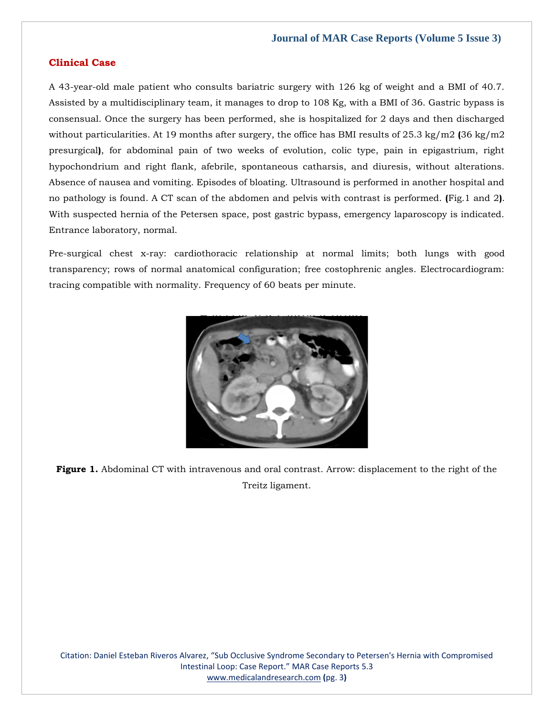# **Clinical Case**

A 43-year-old male patient who consults bariatric surgery with 126 kg of weight and a BMI of 40.7. Assisted by a multidisciplinary team, it manages to drop to 108 Kg, with a BMI of 36. Gastric bypass is consensual. Once the surgery has been performed, she is hospitalized for 2 days and then discharged without particularities. At 19 months after surgery, the office has BMI results of 25.3 kg/m2 **(**36 kg/m2 presurgical**)**, for abdominal pain of two weeks of evolution, colic type, pain in epigastrium, right hypochondrium and right flank, afebrile, spontaneous catharsis, and diuresis, without alterations. Absence of nausea and vomiting. Episodes of bloating. Ultrasound is performed in another hospital and no pathology is found. A CT scan of the abdomen and pelvis with contrast is performed. **(**Fig.1 and 2**)**. With suspected hernia of the Petersen space, post gastric bypass, emergency laparoscopy is indicated. Entrance laboratory, normal.

Pre-surgical chest x-ray: cardiothoracic relationship at normal limits; both lungs with good transparency; rows of normal anatomical configuration; free costophrenic angles. Electrocardiogram: tracing compatible with normality. Frequency of 60 beats per minute.



**Figure 1.** Abdominal CT with intravenous and oral contrast. Arrow: displacement to the right of the Treitz ligament.

Citation: Daniel Esteban Riveros Alvarez, "Sub Occlusive Syndrome Secondary to Petersen's Hernia with Compromised Intestinal Loop: Case Report." MAR Case Reports 5.3 [www.medicalandresearch.com](http://www.medicalandresearch.com/) **(**pg. 3**)**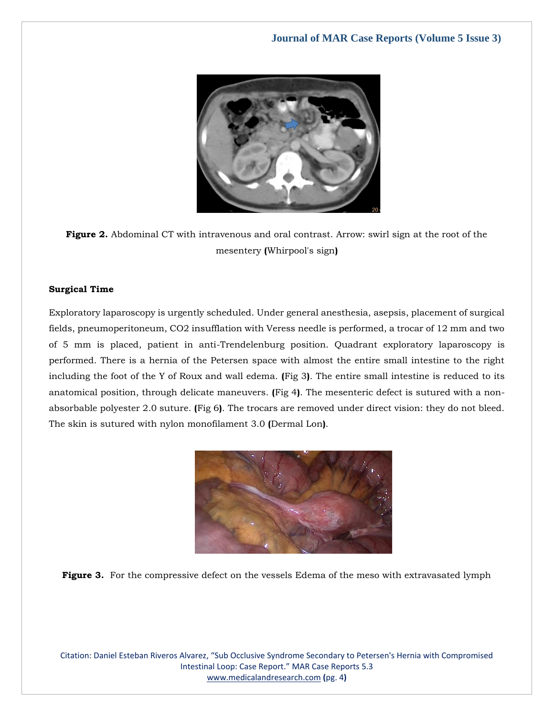

**Figure 2.** Abdominal CT with intravenous and oral contrast. Arrow: swirl sign at the root of the mesentery **(**Whirpool's sign**)**

# **Surgical Time**

Exploratory laparoscopy is urgently scheduled. Under general anesthesia, asepsis, placement of surgical fields, pneumoperitoneum, CO2 insufflation with Veress needle is performed, a trocar of 12 mm and two of 5 mm is placed, patient in anti-Trendelenburg position. Quadrant exploratory laparoscopy is performed. There is a hernia of the Petersen space with almost the entire small intestine to the right including the foot of the Y of Roux and wall edema. **(**Fig 3**)**. The entire small intestine is reduced to its anatomical position, through delicate maneuvers. **(**Fig 4**)**. The mesenteric defect is sutured with a nonabsorbable polyester 2.0 suture. **(**Fig 6**)**. The trocars are removed under direct vision: they do not bleed. The skin is sutured with nylon monofilament 3.0 **(**Dermal Lon**)**.





Citation: Daniel Esteban Riveros Alvarez, "Sub Occlusive Syndrome Secondary to Petersen's Hernia with Compromised Intestinal Loop: Case Report." MAR Case Reports 5.3 [www.medicalandresearch.com](http://www.medicalandresearch.com/) **(**pg. 4**)**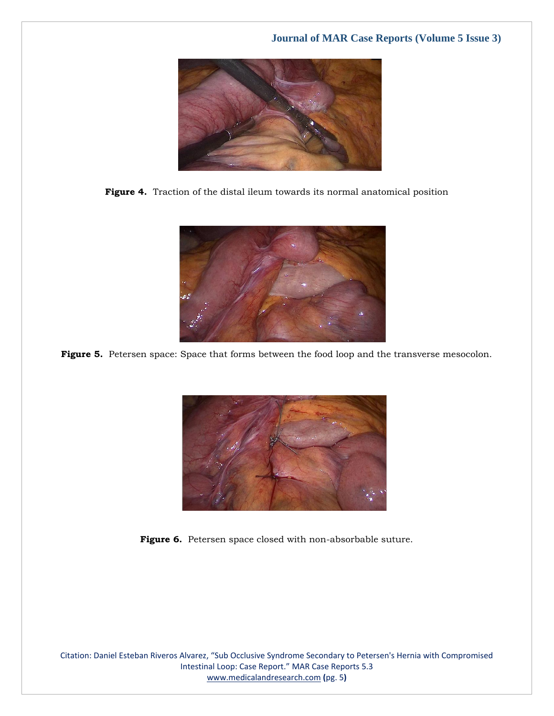





Figure 5. Petersen space: Space that forms between the food loop and the transverse mesocolon.



Figure 6. Petersen space closed with non-absorbable suture.

Citation: Daniel Esteban Riveros Alvarez, "Sub Occlusive Syndrome Secondary to Petersen's Hernia with Compromised Intestinal Loop: Case Report." MAR Case Reports 5.3 [www.medicalandresearch.com](http://www.medicalandresearch.com/) **(**pg. 5**)**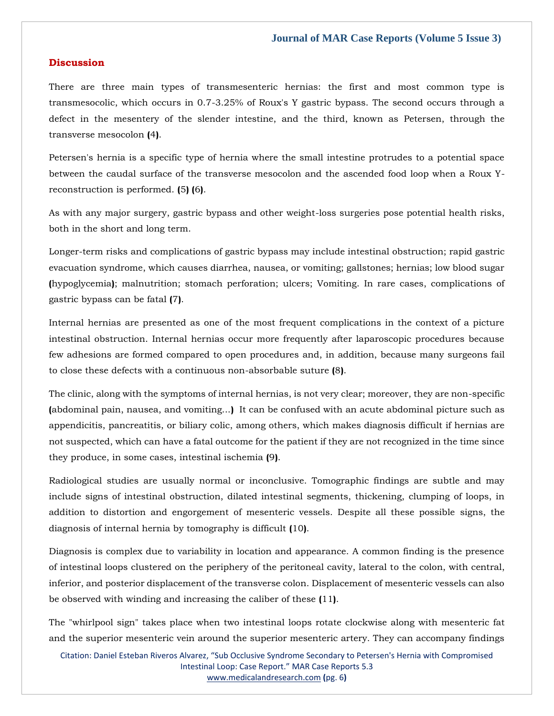# **Discussion**

There are three main types of transmesenteric hernias: the first and most common type is transmesocolic, which occurs in 0.7-3.25% of Roux's Y gastric bypass. The second occurs through a defect in the mesentery of the slender intestine, and the third, known as Petersen, through the transverse mesocolon **(**4**)**.

Petersen's hernia is a specific type of hernia where the small intestine protrudes to a potential space between the caudal surface of the transverse mesocolon and the ascended food loop when a Roux Yreconstruction is performed. **(**5**) (**6**)**.

As with any major surgery, gastric bypass and other weight-loss surgeries pose potential health risks, both in the short and long term.

Longer-term risks and complications of gastric bypass may include intestinal obstruction; rapid gastric evacuation syndrome, which causes diarrhea, nausea, or vomiting; gallstones; hernias; low blood sugar **(**hypoglycemia**)**; malnutrition; stomach perforation; ulcers; Vomiting. In rare cases, complications of gastric bypass can be fatal **(**7**)**.

Internal hernias are presented as one of the most frequent complications in the context of a picture intestinal obstruction. Internal hernias occur more frequently after laparoscopic procedures because few adhesions are formed compared to open procedures and, in addition, because many surgeons fail to close these defects with a continuous non-absorbable suture **(**8**)**.

The clinic, along with the symptoms of internal hernias, is not very clear; moreover, they are non-specific **(**abdominal pain, nausea, and vomiting...**)** It can be confused with an acute abdominal picture such as appendicitis, pancreatitis, or biliary colic, among others, which makes diagnosis difficult if hernias are not suspected, which can have a fatal outcome for the patient if they are not recognized in the time since they produce, in some cases, intestinal ischemia **(**9**)**.

Radiological studies are usually normal or inconclusive. Tomographic findings are subtle and may include signs of intestinal obstruction, dilated intestinal segments, thickening, clumping of loops, in addition to distortion and engorgement of mesenteric vessels. Despite all these possible signs, the diagnosis of internal hernia by tomography is difficult **(**10**)**.

Diagnosis is complex due to variability in location and appearance. A common finding is the presence of intestinal loops clustered on the periphery of the peritoneal cavity, lateral to the colon, with central, inferior, and posterior displacement of the transverse colon. Displacement of mesenteric vessels can also be observed with winding and increasing the caliber of these **(**11**)**.

The "whirlpool sign" takes place when two intestinal loops rotate clockwise along with mesenteric fat and the superior mesenteric vein around the superior mesenteric artery. They can accompany findings

Citation: Daniel Esteban Riveros Alvarez, "Sub Occlusive Syndrome Secondary to Petersen's Hernia with Compromised Intestinal Loop: Case Report." MAR Case Reports 5.3 [www.medicalandresearch.com](http://www.medicalandresearch.com/) **(**pg. 6**)**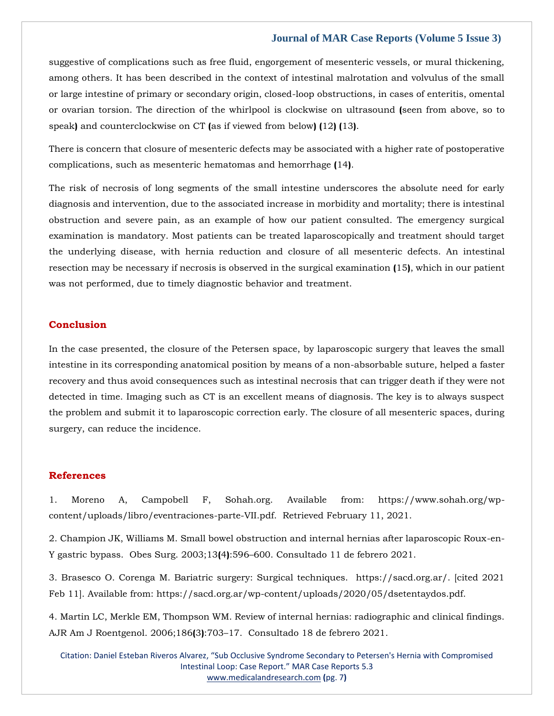# **Journal of MAR Case Reports (Volume 5 Issue 3)**

suggestive of complications such as free fluid, engorgement of mesenteric vessels, or mural thickening, among others. It has been described in the context of intestinal malrotation and volvulus of the small or large intestine of primary or secondary origin, closed-loop obstructions, in cases of enteritis, omental or ovarian torsion. The direction of the whirlpool is clockwise on ultrasound **(**seen from above, so to speak**)** and counterclockwise on CT **(**as if viewed from below**) (**12**) (**13**)**.

There is concern that closure of mesenteric defects may be associated with a higher rate of postoperative complications, such as mesenteric hematomas and hemorrhage **(**14**)**.

The risk of necrosis of long segments of the small intestine underscores the absolute need for early diagnosis and intervention, due to the associated increase in morbidity and mortality; there is intestinal obstruction and severe pain, as an example of how our patient consulted. The emergency surgical examination is mandatory. Most patients can be treated laparoscopically and treatment should target the underlying disease, with hernia reduction and closure of all mesenteric defects. An intestinal resection may be necessary if necrosis is observed in the surgical examination **(**15**)**, which in our patient was not performed, due to timely diagnostic behavior and treatment.

#### **Conclusion**

In the case presented, the closure of the Petersen space, by laparoscopic surgery that leaves the small intestine in its corresponding anatomical position by means of a non-absorbable suture, helped a faster recovery and thus avoid consequences such as intestinal necrosis that can trigger death if they were not detected in time. Imaging such as CT is an excellent means of diagnosis. The key is to always suspect the problem and submit it to laparoscopic correction early. The closure of all mesenteric spaces, during surgery, can reduce the incidence.

#### **References**

1. Moreno A, Campobell F, [Sohah.org. Available from: https://www.sohah.org/wp](file:///C:/Users/Arief%20Mahimudh/Desktop/MAY/1.%20Moreno%20A,%20Campobell%20F,%20Sohah.org.%20Available%20from:%20https:/www.sohah.org/wp-content/uploads/libro/eventraciones-parte-VII.pdf.%20%20Retrieved%20February%2011,%202021)[content/uploads/libro/eventraciones-parte-VII.pdf. Retrieved February 11, 2021.](file:///C:/Users/Arief%20Mahimudh/Desktop/MAY/1.%20Moreno%20A,%20Campobell%20F,%20Sohah.org.%20Available%20from:%20https:/www.sohah.org/wp-content/uploads/libro/eventraciones-parte-VII.pdf.%20%20Retrieved%20February%2011,%202021)

[2. Champion JK, Williams M. Small bowel obstruction and internal hernias after laparoscopic Roux-en-](https://www.google.com/search?q=.+Small+bowel+obstruction+and+internal+hernias+after+laparoscopic+Roux-en-Y+gastric+bypass&oq=.+Small+bowel+obstruction+and+internal+hernias+after+laparoscopic+Roux-en-Y+gastric+bypass&aqs=chrome..69i57.759j0j9&sourceid=chrome&ie=UTF-8)[Y gastric bypass. Obes Surg. 2003;13](https://www.google.com/search?q=.+Small+bowel+obstruction+and+internal+hernias+after+laparoscopic+Roux-en-Y+gastric+bypass&oq=.+Small+bowel+obstruction+and+internal+hernias+after+laparoscopic+Roux-en-Y+gastric+bypass&aqs=chrome..69i57.759j0j9&sourceid=chrome&ie=UTF-8)**(**4**)**:596–600. Consultado 11 de febrero 2021.

[3. Brasesco O. Corenga M. Bariatric surgery: Surgical techniques. https://sacd.org.ar/. \[cited 2021](file:///C:/Users/Arief%20Mahimudh/Desktop/MAY/3.%20Brasesco%20O.%20Corenga%20M.%20Bariatric%20surgery:%20Surgical%20techniques.%20%20https:/sacd.org.ar/.%20%5bcited%202021%20Feb%2011%5d.%20Available%20from:%20https:/sacd.org.ar/wp-content/uploads/2020/05/dsetentaydos.pdf)  [Feb 11\]. Available from: https://sacd.org.ar/wp-content/uploads/2020/05/dsetentaydos.pdf.](file:///C:/Users/Arief%20Mahimudh/Desktop/MAY/3.%20Brasesco%20O.%20Corenga%20M.%20Bariatric%20surgery:%20Surgical%20techniques.%20%20https:/sacd.org.ar/.%20%5bcited%202021%20Feb%2011%5d.%20Available%20from:%20https:/sacd.org.ar/wp-content/uploads/2020/05/dsetentaydos.pdf)

[4. Martin LC, Merkle EM, Thompson WM. Review of internal hernias: radiographic and clinical findings.](https://www.google.com/search?q=Review+of+internal+hernias%3A+radiographic+and+clinical+findings&sxsrf=ALiCzsZuO8tEA5Sqlaj1VefFs4zY1Dhobw%3A1653728956913&ei=vOaRYvaRN8CMseMP1vOXeA&ved=0ahUKEwj235-47IH4AhVARmwGHdb5BQ8Q4dUDCA4&oq=Review+of+internal+hernias%3A+radiographic+and+clinical+findings&gs_lcp=Cgdnd3Mtd2l6EAwyBQgAEIAEOgcIIxDqAhAnSgQIQRgASgQIRhgAUPoBWPoBYOEEaAFwAXgAgAGDAogBgwKSAQMyLTGYAQCgAQGgAQKwAQrAAQE&sclient=gws-wiz)  AJR Am J Roentgenol. 2006;186**(**3**)**:703–[17. Consultado 18 de febrero 2021.](https://www.google.com/search?q=Review+of+internal+hernias%3A+radiographic+and+clinical+findings&sxsrf=ALiCzsZuO8tEA5Sqlaj1VefFs4zY1Dhobw%3A1653728956913&ei=vOaRYvaRN8CMseMP1vOXeA&ved=0ahUKEwj235-47IH4AhVARmwGHdb5BQ8Q4dUDCA4&oq=Review+of+internal+hernias%3A+radiographic+and+clinical+findings&gs_lcp=Cgdnd3Mtd2l6EAwyBQgAEIAEOgcIIxDqAhAnSgQIQRgASgQIRhgAUPoBWPoBYOEEaAFwAXgAgAGDAogBgwKSAQMyLTGYAQCgAQGgAQKwAQrAAQE&sclient=gws-wiz)

Citation: Daniel Esteban Riveros Alvarez, "Sub Occlusive Syndrome Secondary to Petersen's Hernia with Compromised Intestinal Loop: Case Report." MAR Case Reports 5.3 [www.medicalandresearch.com](http://www.medicalandresearch.com/) **(**pg. 7**)**